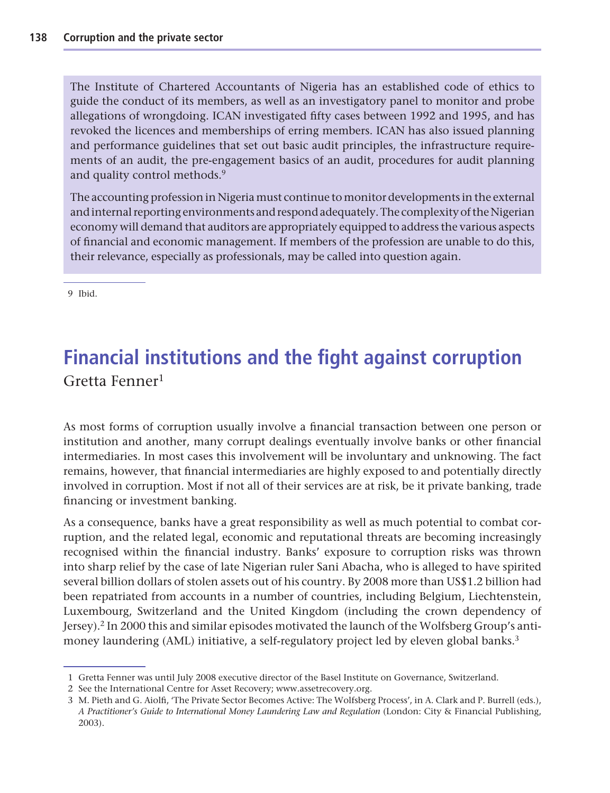The Institute of Chartered Accountants of Nigeria has an established code of ethics to guide the conduct of its members, as well as an investigatory panel to monitor and probe allegations of wrongdoing. ICAN investigated fifty cases between 1992 and 1995, and has revoked the licences and memberships of erring members. ICAN has also issued planning and performance guidelines that set out basic audit principles, the infrastructure requirements of an audit, the pre-engagement basics of an audit, procedures for audit planning and quality control methods.<sup>9</sup>

The accounting profession in Nigeria must continue to monitor developments in the external and internal reporting environments and respond adequately. The complexity of the Nigerian economy will demand that auditors are appropriately equipped to address the various aspects of financial and economic management. If members of the profession are unable to do this, their relevance, especially as professionals, may be called into question again.

9 Ibid.

# **Financial institutions and the fight against corruption** Gretta Fenner1

As most forms of corruption usually involve a financial transaction between one person or institution and another, many corrupt dealings eventually involve banks or other financial intermediaries. In most cases this involvement will be involuntary and unknowing. The fact remains, however, that financial intermediaries are highly exposed to and potentially directly involved in corruption. Most if not all of their services are at risk, be it private banking, trade financing or investment banking.

As a consequence, banks have a great responsibility as well as much potential to combat corruption, and the related legal, economic and reputational threats are becoming increasingly recognised within the financial industry. Banks' exposure to corruption risks was thrown into sharp relief by the case of late Nigerian ruler Sani Abacha, who is alleged to have spirited several billion dollars of stolen assets out of his country. By 2008 more than US\$1.2 billion had been repatriated from accounts in a number of countries, including Belgium, Liechtenstein, Luxembourg, Switzerland and the United Kingdom (including the crown dependency of Jersey).<sup>2</sup> In 2000 this and similar episodes motivated the launch of the Wolfsberg Group's antimoney laundering (AML) initiative, a self-regulatory project led by eleven global banks.<sup>3</sup>

 <sup>1</sup> Gretta Fenner was until July 2008 executive director of the Basel Institute on Governance, Switzerland.

 <sup>2</sup> See the International Centre for Asset Recovery; www.assetrecovery.org.

 <sup>3</sup> M. Pieth and G. Aiolfi , 'The Private Sector Becomes Active: The Wolfsberg Process', in A. Clark and P. Burrell (eds.), *A Practitioner's Guide to International Money Laundering Law and Regulation* (London: City & Financial Publishing, 2003).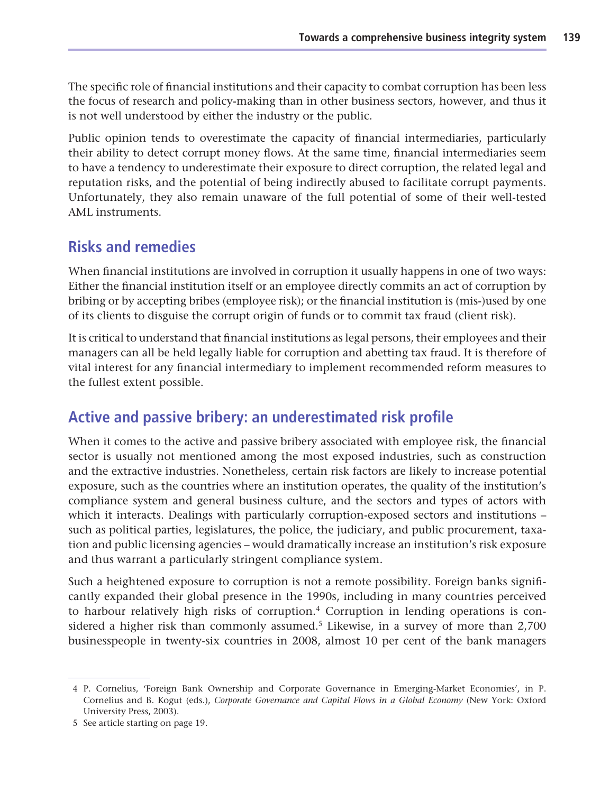The specific role of financial institutions and their capacity to combat corruption has been less the focus of research and policy-making than in other business sectors, however, and thus it is not well understood by either the industry or the public.

Public opinion tends to overestimate the capacity of financial intermediaries, particularly their ability to detect corrupt money flows. At the same time, financial intermediaries seem to have a tendency to underestimate their exposure to direct corruption, the related legal and reputation risks, and the potential of being indirectly abused to facilitate corrupt payments. Unfortunately, they also remain unaware of the full potential of some of their well-tested AML instruments.

### **Risks and remedies**

When financial institutions are involved in corruption it usually happens in one of two ways: Either the financial institution itself or an employee directly commits an act of corruption by bribing or by accepting bribes (employee risk); or the financial institution is (mis-)used by one of its clients to disguise the corrupt origin of funds or to commit tax fraud (client risk).

It is critical to understand that financial institutions as legal persons, their employees and their managers can all be held legally liable for corruption and abetting tax fraud. It is therefore of vital interest for any financial intermediary to implement recommended reform measures to the fullest extent possible.

### Active and passive bribery: an underestimated risk profile

When it comes to the active and passive bribery associated with employee risk, the financial sector is usually not mentioned among the most exposed industries, such as construction and the extractive industries. Nonetheless, certain risk factors are likely to increase potential exposure, such as the countries where an institution operates, the quality of the institution's compliance system and general business culture, and the sectors and types of actors with which it interacts. Dealings with particularly corruption-exposed sectors and institutions – such as political parties, legislatures, the police, the judiciary, and public procurement, taxation and public licensing agencies – would dramatically increase an institution's risk exposure and thus warrant a particularly stringent compliance system.

Such a heightened exposure to corruption is not a remote possibility. Foreign banks significantly expanded their global presence in the 1990s, including in many countries perceived to harbour relatively high risks of corruption.4 Corruption in lending operations is considered a higher risk than commonly assumed.<sup>5</sup> Likewise, in a survey of more than  $2,700$ businesspeople in twenty-six countries in 2008, almost 10 per cent of the bank managers

 <sup>4</sup> P. Cornelius, 'Foreign Bank Ownership and Corporate Governance in Emerging-Market Economies', in P. Cornelius and B. Kogut (eds.), *Corporate Governance and Capital Flows in a Global Economy* (New York: Oxford University Press, 2003).

 <sup>5</sup> See article starting on page 19.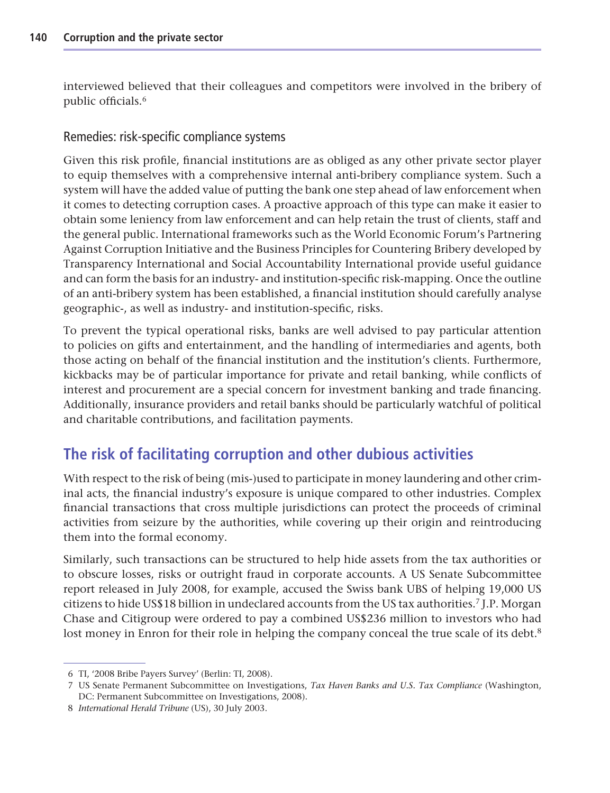interviewed believed that their colleagues and competitors were involved in the bribery of public officials.<sup>6</sup>

#### Remedies: risk-specific compliance systems

Given this risk profile, financial institutions are as obliged as any other private sector player to equip themselves with a comprehensive internal anti-bribery compliance system. Such a system will have the added value of putting the bank one step ahead of law enforcement when it comes to detecting corruption cases. A proactive approach of this type can make it easier to obtain some leniency from law enforcement and can help retain the trust of clients, staff and the general public. International frameworks such as the World Economic Forum's Partnering Against Corruption Initiative and the Business Principles for Countering Bribery developed by Transparency International and Social Accountability International provide useful guidance and can form the basis for an industry- and institution-specific risk-mapping. Once the outline of an anti-bribery system has been established, a financial institution should carefully analyse geographic-, as well as industry- and institution-specific, risks.

To prevent the typical operational risks, banks are well advised to pay particular attention to policies on gifts and entertainment, and the handling of intermediaries and agents, both those acting on behalf of the financial institution and the institution's clients. Furthermore, kickbacks may be of particular importance for private and retail banking, while conflicts of interest and procurement are a special concern for investment banking and trade financing. Additionally, insurance providers and retail banks should be particularly watchful of political and charitable contributions, and facilitation payments.

## **The risk of facilitating corruption and other dubious activities**

With respect to the risk of being (mis-)used to participate in money laundering and other criminal acts, the financial industry's exposure is unique compared to other industries. Complex financial transactions that cross multiple jurisdictions can protect the proceeds of criminal activities from seizure by the authorities, while covering up their origin and reintroducing them into the formal economy.

Similarly, such transactions can be structured to help hide assets from the tax authorities or to obscure losses, risks or outright fraud in corporate accounts. A US Senate Subcommittee report released in July 2008, for example, accused the Swiss bank UBS of helping 19,000 US citizens to hide US\$18 billion in undeclared accounts from the US tax authorities.<sup>7</sup> J.P. Morgan Chase and Citigroup were ordered to pay a combined US\$236 million to investors who had lost money in Enron for their role in helping the company conceal the true scale of its debt.<sup>8</sup>

 <sup>6</sup> TI, '2008 Bribe Payers Survey' (Berlin: TI, 2008).

 <sup>7</sup> US Senate Permanent Subcommittee on Investigations, *Tax Haven Banks and U.S. Tax Compliance* (Washington, DC: Permanent Subcommittee on Investigations, 2008).

 <sup>8</sup> *International Herald Tribune* (US), 30 July 2003.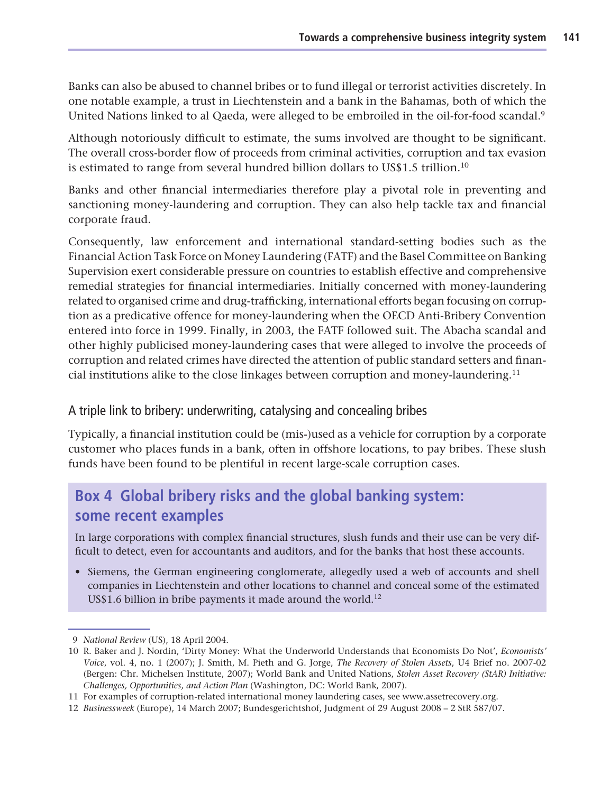Banks can also be abused to channel bribes or to fund illegal or terrorist activities discretely. In one notable example, a trust in Liechtenstein and a bank in the Bahamas, both of which the United Nations linked to al Qaeda, were alleged to be embroiled in the oil-for-food scandal.<sup>9</sup>

Although notoriously difficult to estimate, the sums involved are thought to be significant. The overall cross-border flow of proceeds from criminal activities, corruption and tax evasion is estimated to range from several hundred billion dollars to US\$1.5 trillion.10

Banks and other financial intermediaries therefore play a pivotal role in preventing and sanctioning money-laundering and corruption. They can also help tackle tax and financial corporate fraud.

Consequently, law enforcement and international standard-setting bodies such as the Financial Action Task Force on Money Laundering (FATF) and the Basel Committee on Banking Supervision exert considerable pressure on countries to establish effective and comprehensive remedial strategies for financial intermediaries. Initially concerned with money-laundering related to organised crime and drug-trafficking, international efforts began focusing on corruption as a predicative offence for money-laundering when the OECD Anti-Bribery Convention entered into force in 1999. Finally, in 2003, the FATF followed suit. The Abacha scandal and other highly publicised money-laundering cases that were alleged to involve the proceeds of corruption and related crimes have directed the attention of public standard setters and financial institutions alike to the close linkages between corruption and money-laundering.11

#### A triple link to bribery: underwriting, catalysing and concealing bribes

Typically, a financial institution could be (mis-)used as a vehicle for corruption by a corporate customer who places funds in a bank, often in offshore locations, to pay bribes. These slush funds have been found to be plentiful in recent large-scale corruption cases.

## **Box 4 Global bribery risks and the global banking system: some recent examples**

In large corporations with complex financial structures, slush funds and their use can be very difficult to detect, even for accountants and auditors, and for the banks that host these accounts.

• Siemens, the German engineering conglomerate, allegedly used a web of accounts and shell companies in Liechtenstein and other locations to channel and conceal some of the estimated US\$1.6 billion in bribe payments it made around the world.<sup>12</sup>

 <sup>9</sup> *National Review* (US), 18 April 2004.

<sup>10</sup> R. Baker and J. Nordin, 'Dirty Money: What the Underworld Understands that Economists Do Not', *Economists' Voice*, vol. 4, no. 1 (2007); J. Smith, M. Pieth and G. Jorge, *The Recovery of Stolen Assets*, U4 Brief no. 2007-02 (Bergen: Chr. Michelsen Institute, 2007); World Bank and United Nations, *Stolen Asset Recovery (StAR) Initiative: Challenges, Opportunities, and Action Plan* (Washington, DC: World Bank, 2007).

<sup>11</sup> For examples of corruption-related international money laundering cases, see www.assetrecovery.org.

<sup>12</sup> *Businessweek* (Europe), 14 March 2007; Bundesgerichtshof, Judgment of 29 August 2008 – 2 StR 587/07.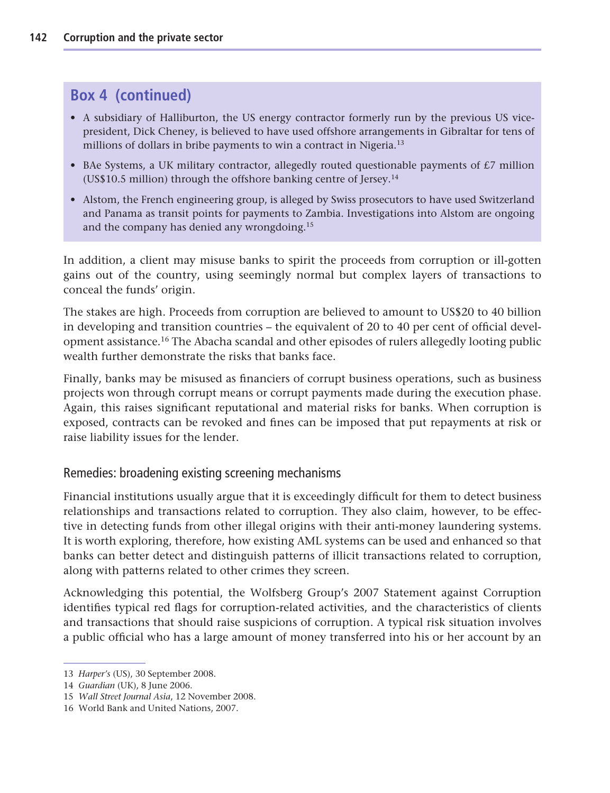### **Box 4 (continued)**

- A subsidiary of Halliburton, the US energy contractor formerly run by the previous US vicepresident, Dick Cheney, is believed to have used offshore arrangements in Gibraltar for tens of millions of dollars in bribe payments to win a contract in Nigeria.<sup>13</sup>
- BAe Systems, a UK military contractor, allegedly routed questionable payments of  $E$ 7 million (US\$10.5 million) through the offshore banking centre of Jersey.14
- Alstom, the French engineering group, is alleged by Swiss prosecutors to have used Switzerland and Panama as transit points for payments to Zambia. Investigations into Alstom are ongoing and the company has denied any wrongdoing.15

In addition, a client may misuse banks to spirit the proceeds from corruption or ill-gotten gains out of the country, using seemingly normal but complex layers of transactions to conceal the funds' origin.

The stakes are high. Proceeds from corruption are believed to amount to US\$20 to 40 billion in developing and transition countries – the equivalent of 20 to 40 per cent of official development assistance.16 The Abacha scandal and other episodes of rulers allegedly looting public wealth further demonstrate the risks that banks face.

Finally, banks may be misused as financiers of corrupt business operations, such as business projects won through corrupt means or corrupt payments made during the execution phase. Again, this raises significant reputational and material risks for banks. When corruption is exposed, contracts can be revoked and fines can be imposed that put repayments at risk or raise liability issues for the lender.

#### Remedies: broadening existing screening mechanisms

Financial institutions usually argue that it is exceedingly difficult for them to detect business relationships and transactions related to corruption. They also claim, however, to be effective in detecting funds from other illegal origins with their anti-money laundering systems. It is worth exploring, therefore, how existing AML systems can be used and enhanced so that banks can better detect and distinguish patterns of illicit transactions related to corruption, along with patterns related to other crimes they screen.

Acknowledging this potential, the Wolfsberg Group's 2007 Statement against Corruption identifies typical red flags for corruption-related activities, and the characteristics of clients and transactions that should raise suspicions of corruption. A typical risk situation involves a public official who has a large amount of money transferred into his or her account by an

<sup>13</sup> *Harper's* (US), 30 September 2008.

<sup>14</sup> *Guardian* (UK), 8 June 2006.

<sup>15</sup> *Wall Street Journal Asia*, 12 November 2008.

<sup>16</sup> World Bank and United Nations, 2007.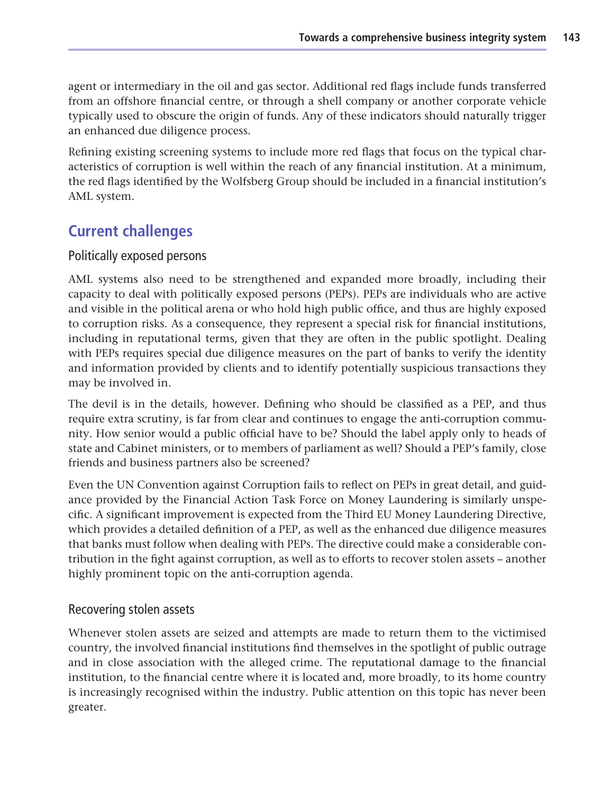agent or intermediary in the oil and gas sector. Additional red flags include funds transferred from an offshore financial centre, or through a shell company or another corporate vehicle typically used to obscure the origin of funds. Any of these indicators should naturally trigger an enhanced due diligence process.

Refining existing screening systems to include more red flags that focus on the typical characteristics of corruption is well within the reach of any financial institution. At a minimum, the red flags identified by the Wolfsberg Group should be included in a financial institution's AML system.

## **Current challenges**

#### Politically exposed persons

AML systems also need to be strengthened and expanded more broadly, including their capacity to deal with politically exposed persons (PEPs). PEPs are individuals who are active and visible in the political arena or who hold high public office, and thus are highly exposed to corruption risks. As a consequence, they represent a special risk for financial institutions, including in reputational terms, given that they are often in the public spotlight. Dealing with PEPs requires special due diligence measures on the part of banks to verify the identity and information provided by clients and to identify potentially suspicious transactions they may be involved in.

The devil is in the details, however. Defining who should be classified as a PEP, and thus require extra scrutiny, is far from clear and continues to engage the anti-corruption community. How senior would a public official have to be? Should the label apply only to heads of state and Cabinet ministers, or to members of parliament as well? Should a PEP's family, close friends and business partners also be screened?

Even the UN Convention against Corruption fails to reflect on PEPs in great detail, and guidance provided by the Financial Action Task Force on Money Laundering is similarly unspecific. A significant improvement is expected from the Third EU Money Laundering Directive, which provides a detailed definition of a PEP, as well as the enhanced due diligence measures that banks must follow when dealing with PEPs. The directive could make a considerable contribution in the fight against corruption, as well as to efforts to recover stolen assets – another highly prominent topic on the anti-corruption agenda.

#### Recovering stolen assets

Whenever stolen assets are seized and attempts are made to return them to the victimised country, the involved financial institutions find themselves in the spotlight of public outrage and in close association with the alleged crime. The reputational damage to the financial institution, to the financial centre where it is located and, more broadly, to its home country is increasingly recognised within the industry. Public attention on this topic has never been greater.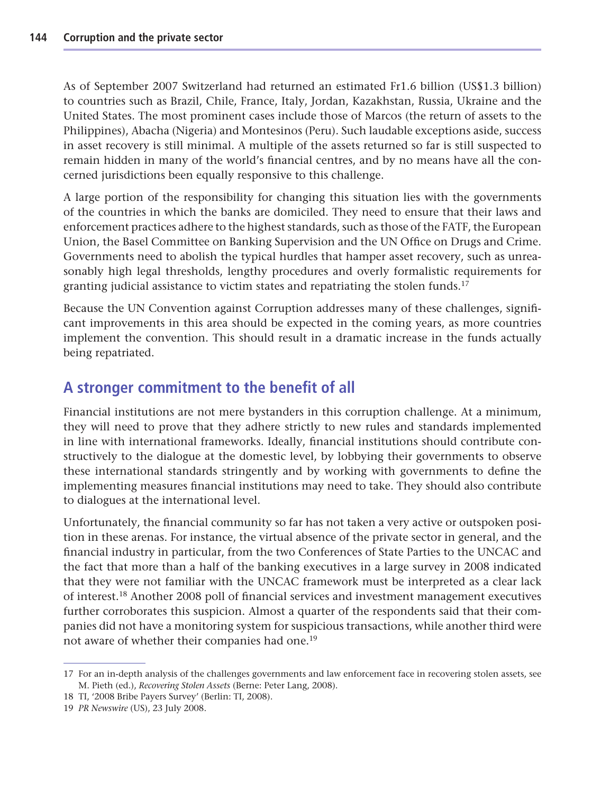As of September 2007 Switzerland had returned an estimated Fr1.6 billion (US\$1.3 billion) to countries such as Brazil, Chile, France, Italy, Jordan, Kazakhstan, Russia, Ukraine and the United States. The most prominent cases include those of Marcos (the return of assets to the Philippines), Abacha (Nigeria) and Montesinos (Peru). Such laudable exceptions aside, success in asset recovery is still minimal. A multiple of the assets returned so far is still suspected to remain hidden in many of the world's financial centres, and by no means have all the concerned jurisdictions been equally responsive to this challenge.

A large portion of the responsibility for changing this situation lies with the governments of the countries in which the banks are domiciled. They need to ensure that their laws and enforcement practices adhere to the highest standards, such as those of the FATF, the European Union, the Basel Committee on Banking Supervision and the UN Office on Drugs and Crime. Governments need to abolish the typical hurdles that hamper asset recovery, such as unreasonably high legal thresholds, lengthy procedures and overly formalistic requirements for granting judicial assistance to victim states and repatriating the stolen funds.<sup>17</sup>

Because the UN Convention against Corruption addresses many of these challenges, significant improvements in this area should be expected in the coming years, as more countries implement the convention. This should result in a dramatic increase in the funds actually being repatriated.

## A stronger commitment to the benefit of all

Financial institutions are not mere bystanders in this corruption challenge. At a minimum, they will need to prove that they adhere strictly to new rules and standards implemented in line with international frameworks. Ideally, financial institutions should contribute constructively to the dialogue at the domestic level, by lobbying their governments to observe these international standards stringently and by working with governments to define the implementing measures financial institutions may need to take. They should also contribute to dialogues at the international level.

Unfortunately, the financial community so far has not taken a very active or outspoken position in these arenas. For instance, the virtual absence of the private sector in general, and the financial industry in particular, from the two Conferences of State Parties to the UNCAC and the fact that more than a half of the banking executives in a large survey in 2008 indicated that they were not familiar with the UNCAC framework must be interpreted as a clear lack of interest.<sup>18</sup> Another 2008 poll of financial services and investment management executives further corroborates this suspicion. Almost a quarter of the respondents said that their companies did not have a monitoring system for suspicious transactions, while another third were not aware of whether their companies had one.19

<sup>17</sup> For an in-depth analysis of the challenges governments and law enforcement face in recovering stolen assets, see M. Pieth (ed.), *Recovering Stolen Assets* (Berne: Peter Lang, 2008).

<sup>18</sup> TI, '2008 Bribe Payers Survey' (Berlin: TI, 2008).

<sup>19</sup> *PR Newswire* (US), 23 July 2008.